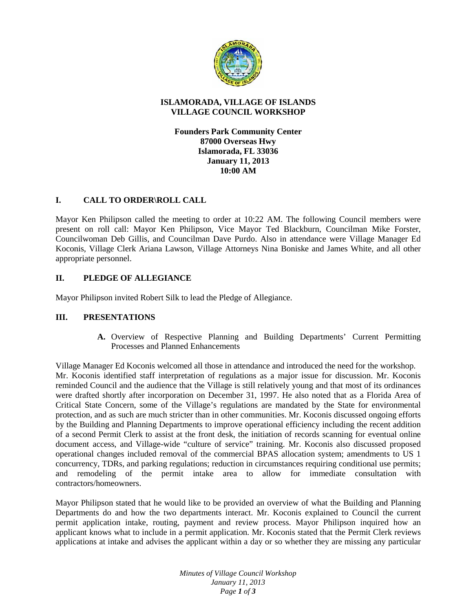

### **ISLAMORADA, VILLAGE OF ISLANDS VILLAGE COUNCIL WORKSHOP**

**Founders Park Community Center 87000 Overseas Hwy Islamorada, FL 33036 January 11, 2013 10:00 AM**

# **I. CALL TO ORDER\ROLL CALL**

Mayor Ken Philipson called the meeting to order at 10:22 AM. The following Council members were present on roll call: Mayor Ken Philipson, Vice Mayor Ted Blackburn, Councilman Mike Forster, Councilwoman Deb Gillis, and Councilman Dave Purdo. Also in attendance were Village Manager Ed Koconis, Village Clerk Ariana Lawson, Village Attorneys Nina Boniske and James White, and all other appropriate personnel.

# **II. PLEDGE OF ALLEGIANCE**

Mayor Philipson invited Robert Silk to lead the Pledge of Allegiance.

# **III. PRESENTATIONS**

**A.** Overview of Respective Planning and Building Departments' Current Permitting Processes and Planned Enhancements

Village Manager Ed Koconis welcomed all those in attendance and introduced the need for the workshop. Mr. Koconis identified staff interpretation of regulations as a major issue for discussion. Mr. Koconis reminded Council and the audience that the Village is still relatively young and that most of its ordinances were drafted shortly after incorporation on December 31, 1997. He also noted that as a Florida Area of Critical State Concern, some of the Village's regulations are mandated by the State for environmental protection, and as such are much stricter than in other communities. Mr. Koconis discussed ongoing efforts by the Building and Planning Departments to improve operational efficiency including the recent addition of a second Permit Clerk to assist at the front desk, the initiation of records scanning for eventual online document access, and Village-wide "culture of service" training. Mr. Koconis also discussed proposed operational changes included removal of the commercial BPAS allocation system; amendments to US 1 concurrency, TDRs, and parking regulations; reduction in circumstances requiring conditional use permits; and remodeling of the permit intake area to allow for immediate consultation with contractors/homeowners.

Mayor Philipson stated that he would like to be provided an overview of what the Building and Planning Departments do and how the two departments interact. Mr. Koconis explained to Council the current permit application intake, routing, payment and review process. Mayor Philipson inquired how an applicant knows what to include in a permit application. Mr. Koconis stated that the Permit Clerk reviews applications at intake and advises the applicant within a day or so whether they are missing any particular

> *Minutes of Village Council Workshop January 11, 2013 Page 1 of 3*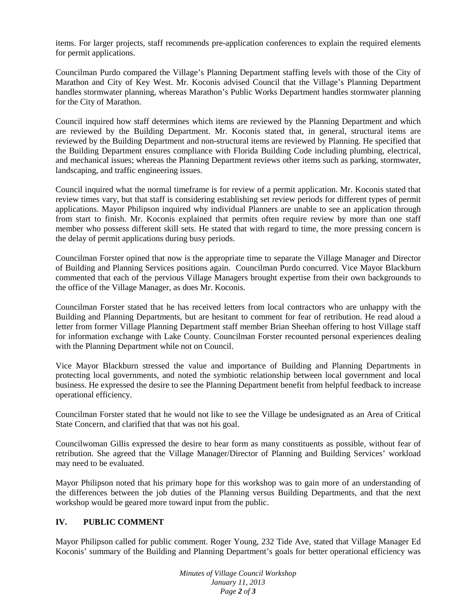items. For larger projects, staff recommends pre-application conferences to explain the required elements for permit applications.

Councilman Purdo compared the Village's Planning Department staffing levels with those of the City of Marathon and City of Key West. Mr. Koconis advised Council that the Village's Planning Department handles stormwater planning, whereas Marathon's Public Works Department handles stormwater planning for the City of Marathon.

Council inquired how staff determines which items are reviewed by the Planning Department and which are reviewed by the Building Department. Mr. Koconis stated that, in general, structural items are reviewed by the Building Department and non-structural items are reviewed by Planning. He specified that the Building Department ensures compliance with Florida Building Code including plumbing, electrical, and mechanical issues; whereas the Planning Department reviews other items such as parking, stormwater, landscaping, and traffic engineering issues.

Council inquired what the normal timeframe is for review of a permit application. Mr. Koconis stated that review times vary, but that staff is considering establishing set review periods for different types of permit applications. Mayor Philipson inquired why individual Planners are unable to see an application through from start to finish. Mr. Koconis explained that permits often require review by more than one staff member who possess different skill sets. He stated that with regard to time, the more pressing concern is the delay of permit applications during busy periods.

Councilman Forster opined that now is the appropriate time to separate the Village Manager and Director of Building and Planning Services positions again. Councilman Purdo concurred. Vice Mayor Blackburn commented that each of the pervious Village Managers brought expertise from their own backgrounds to the office of the Village Manager, as does Mr. Koconis.

Councilman Forster stated that he has received letters from local contractors who are unhappy with the Building and Planning Departments, but are hesitant to comment for fear of retribution. He read aloud a letter from former Village Planning Department staff member Brian Sheehan offering to host Village staff for information exchange with Lake County. Councilman Forster recounted personal experiences dealing with the Planning Department while not on Council.

Vice Mayor Blackburn stressed the value and importance of Building and Planning Departments in protecting local governments, and noted the symbiotic relationship between local government and local business. He expressed the desire to see the Planning Department benefit from helpful feedback to increase operational efficiency.

Councilman Forster stated that he would not like to see the Village be undesignated as an Area of Critical State Concern, and clarified that that was not his goal.

Councilwoman Gillis expressed the desire to hear form as many constituents as possible, without fear of retribution. She agreed that the Village Manager/Director of Planning and Building Services' workload may need to be evaluated.

Mayor Philipson noted that his primary hope for this workshop was to gain more of an understanding of the differences between the job duties of the Planning versus Building Departments, and that the next workshop would be geared more toward input from the public.

### **IV. PUBLIC COMMENT**

Mayor Philipson called for public comment. Roger Young, 232 Tide Ave, stated that Village Manager Ed Koconis' summary of the Building and Planning Department's goals for better operational efficiency was

> *Minutes of Village Council Workshop January 11, 2013 Page 2 of 3*